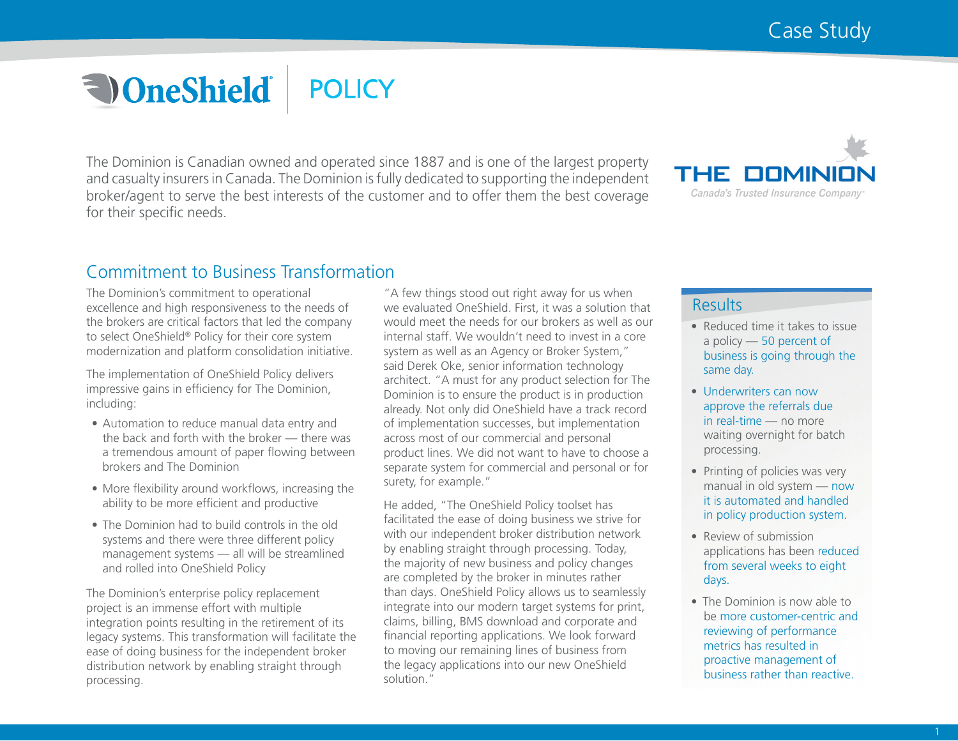# **a** OneShield **POLICY**

The Dominion is Canadian owned and operated since 1887 and is one of the largest property and casualty insurers in Canada. The Dominion is fully dedicated to supporting the independent broker/agent to serve the best interests of the customer and to offer them the best coverage for their specific needs.



# Commitment to Business Transformation

The Dominion's commitment to operational excellence and high responsiveness to the needs of the brokers are critical factors that led the company to select OneShield® Policy for their core system modernization and platform consolidation initiative.

The implementation of OneShield Policy delivers impressive gains in efficiency for The Dominion, including:

- Automation to reduce manual data entry and the back and forth with the broker — there was a tremendous amount of paper flowing between brokers and The Dominion
- More flexibility around workflows, increasing the ability to be more efficient and productive
- The Dominion had to build controls in the old systems and there were three different policy management systems — all will be streamlined and rolled into OneShield Policy

The Dominion's enterprise policy replacement project is an immense effort with multiple integration points resulting in the retirement of its legacy systems. This transformation will facilitate the ease of doing business for the independent broker distribution network by enabling straight through processing.

"A few things stood out right away for us when we evaluated OneShield. First, it was a solution that would meet the needs for our brokers as well as our internal staff. We wouldn't need to invest in a core system as well as an Agency or Broker System," said Derek Oke, senior information technology architect. "A must for any product selection for The Dominion is to ensure the product is in production already. Not only did OneShield have a track record of implementation successes, but implementation across most of our commercial and personal product lines. We did not want to have to choose a separate system for commercial and personal or for surety, for example."

He added, "The OneShield Policy toolset has facilitated the ease of doing business we strive for with our independent broker distribution network by enabling straight through processing. Today, the majority of new business and policy changes are completed by the broker in minutes rather than days. OneShield Policy allows us to seamlessly integrate into our modern target systems for print, claims, billing, BMS download and corporate and financial reporting applications. We look forward to moving our remaining lines of business from the legacy applications into our new OneShield solution."

### Results

- Reduced time it takes to issue a policy — 50 percent of business is going through the same day.
- Underwriters can now approve the referrals due in real-time — no more waiting overnight for batch processing.
- Printing of policies was very manual in old system — now it is automated and handled in policy production system.
- Review of submission applications has been reduced from several weeks to eight days.
- The Dominion is now able to be more customer-centric and reviewing of performance metrics has resulted in proactive management of business rather than reactive.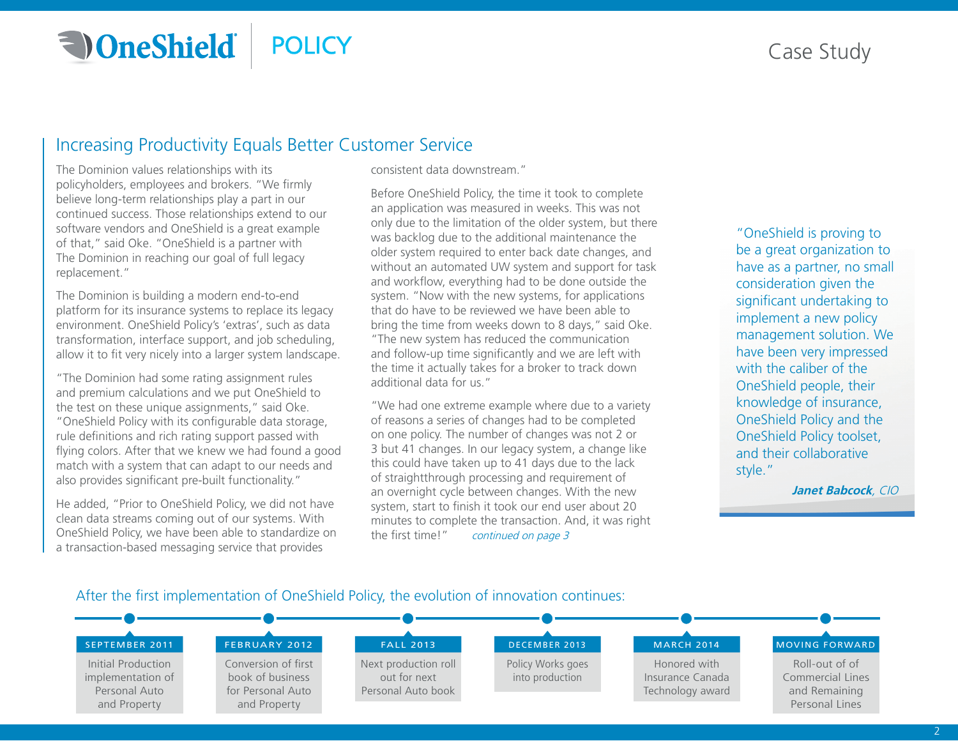## **a** OneShield **POLICY**

# Case Study

## Increasing Productivity Equals Better Customer Service

The Dominion values relationships with its policyholders, employees and brokers. "We firmly believe long-term relationships play a part in our continued success. Those relationships extend to our software vendors and OneShield is a great example of that," said Oke. "OneShield is a partner with The Dominion in reaching our goal of full legacy replacement."

The Dominion is building a modern end-to-end platform for its insurance systems to replace its legacy environment. OneShield Policy's 'extras', such as data transformation, interface support, and job scheduling, allow it to fit very nicely into a larger system landscape.

"The Dominion had some rating assignment rules and premium calculations and we put OneShield to the test on these unique assignments," said Oke. "OneShield Policy with its configurable data storage, rule definitions and rich rating support passed with flying colors. After that we knew we had found a good match with a system that can adapt to our needs and also provides significant pre-built functionality."

He added, "Prior to OneShield Policy, we did not have clean data streams coming out of our systems. With OneShield Policy, we have been able to standardize on a transaction-based messaging service that provides

consistent data downstream."

Before OneShield Policy, the time it took to complete an application was measured in weeks. This was not only due to the limitation of the older system, but there was backlog due to the additional maintenance the older system required to enter back date changes, and without an automated UW system and support for task and workflow, everything had to be done outside the system. "Now with the new systems, for applications that do have to be reviewed we have been able to bring the time from weeks down to 8 days," said Oke. "The new system has reduced the communication and follow-up time significantly and we are left with the time it actually takes for a broker to track down additional data for us."

"We had one extreme example where due to a variety of reasons a series of changes had to be completed on one policy. The number of changes was not 2 or 3 but 41 changes. In our legacy system, a change like this could have taken up to 41 days due to the lack of straightthrough processing and requirement of an overnight cycle between changes. With the new system, start to finish it took our end user about 20 minutes to complete the transaction. And, it was right the first time!" continued on page 3

"OneShield is proving to be a great organization to have as a partner, no small consideration given the significant undertaking to implement a new policy management solution. We have been very impressed with the caliber of the OneShield people, their knowledge of insurance, OneShield Policy and the OneShield Policy toolset, and their collaborative style."

**Janet Babcock**, CIO